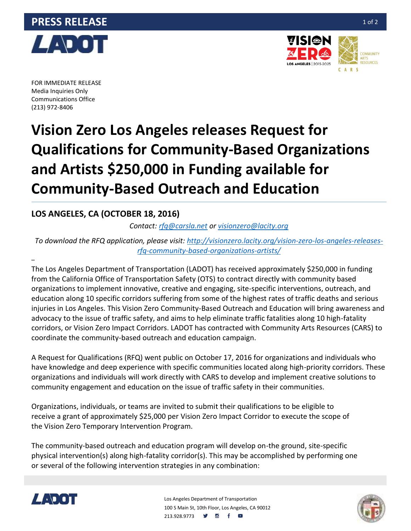



FOR IMMEDIATE RELEASE Media Inquiries Only Communications Office (213) 972-8406

–

# **Vision Zero Los Angeles releases Request for Qualifications for Community-Based Organizations and Artists \$250,000 in Funding available for Community-Based Outreach and Education**

## **LOS ANGELES, CA (OCTOBER 18, 2016)**

*Contact: [rfq@carsla.net](mailto:rfq@carsla.net) or [visionzero@lacity.org](mailto:visionzero@lacity.org)*

*To download the RFQ application, please visit: [http://visionzero.lacity.org/vision-zero-los-angeles-releases](http://visionzero.lacity.org/vision-zero-los-angeles-releases-rfq-community-based-organizations-artists/)[rfq-community-based-organizations-artists/](http://visionzero.lacity.org/vision-zero-los-angeles-releases-rfq-community-based-organizations-artists/)*

The Los Angeles Department of Transportation (LADOT) has received approximately \$250,000 in funding from the California Office of Transportation Safety (OTS) to contract directly with community based organizations to implement innovative, creative and engaging, site-specific interventions, outreach, and education along 10 specific corridors suffering from some of the highest rates of traffic deaths and serious injuries in Los Angeles. This Vision Zero Community-Based Outreach and Education will bring awareness and advocacy to the issue of traffic safety, and aims to help eliminate traffic fatalities along 10 high-fatality corridors, or Vision Zero Impact Corridors. LADOT has contracted with Community Arts Resources (CARS) to coordinate the community-based outreach and education campaign.

A Request for Qualifications (RFQ) went public on October 17, 2016 for organizations and individuals who have knowledge and deep experience with specific communities located along high-priority corridors. These organizations and individuals will work directly with CARS to develop and implement creative solutions to community engagement and education on the issue of traffic safety in their communities.

Organizations, individuals, or teams are invited to submit their qualifications to be eligible to receive a grant of approximately \$25,000 per Vision Zero Impact Corridor to execute the scope of the Vision Zero Temporary Intervention Program.

The community-based outreach and education program will develop on-the ground, site-specific physical intervention(s) along high-fatality corridor(s). This may be accomplished by performing one or several of the following intervention strategies in any combination:



Los Angeles Department of Transportation 100 S Main St, 10th Floor, Los Angeles, CA 90012 213.928.9773 **9 8** f